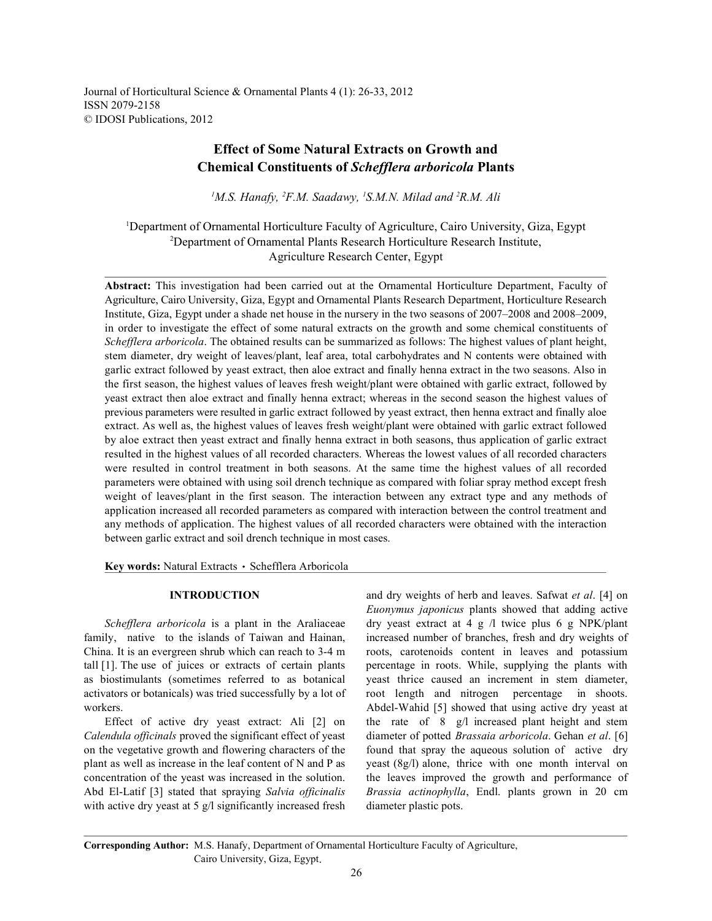Journal of Horticultural Science & Ornamental Plants 4 (1): 26-33, 2012 ISSN 2079-2158 © IDOSI Publications, 2012

## **Effect of Some Natural Extracts on Growth and Chemical Constituents of** *Schefflera arboricola* **Plants**

<sup>1</sup>M.S. Hanafy, <sup>2</sup>F.M. Saadawy, <sup>1</sup>S.M.N. Milad and <sup>2</sup>R.M. Ali

<sup>1</sup>Department of Ornamental Horticulture Faculty of Agriculture, Cairo University, Giza, Egypt <sup>2</sup>Department of Ornamental Plants Research Horticulture Research Institute, Agriculture Research Center, Egypt

**Abstract:** This investigation had been carried out at the Ornamental Horticulture Department, Faculty of Agriculture, Cairo University, Giza, Egypt and Ornamental Plants Research Department, Horticulture Research Institute, Giza, Egypt under a shade net house in the nursery in the two seasons of 2007–2008 and 2008–2009, in order to investigate the effect of some natural extracts on the growth and some chemical constituents of *Schefflera arboricola*. The obtained results can be summarized as follows: The highest values of plant height, stem diameter, dry weight of leaves/plant, leaf area, total carbohydrates and N contents were obtained with garlic extract followed by yeast extract, then aloe extract and finally henna extract in the two seasons. Also in the first season, the highest values of leaves fresh weight/plant were obtained with garlic extract, followed by yeast extract then aloe extract and finally henna extract; whereas in the second season the highest values of previous parameters were resulted in garlic extract followed by yeast extract, then henna extract and finally aloe extract. As well as, the highest values of leaves fresh weight/plant were obtained with garlic extract followed by aloe extract then yeast extract and finally henna extract in both seasons, thus application of garlic extract resulted in the highest values of all recorded characters. Whereas the lowest values of all recorded characters were resulted in control treatment in both seasons. At the same time the highest values of all recorded parameters were obtained with using soil drench technique as compared with foliar spray method except fresh weight of leaves/plant in the first season. The interaction between any extract type and any methods of application increased all recorded parameters as compared with interaction between the control treatment and any methods of application. The highest values of all recorded characters were obtained with the interaction between garlic extract and soil drench technique in most cases.

Key words: Natural Extracts · Schefflera Arboricola

family, native to the islands of Taiwan and Hainan, increased number of branches, fresh and dry weights of China. It is an evergreen shrub which can reach to 3-4 m roots, carotenoids content in leaves and potassium tall [1]. The use of juices or extracts of certain plants percentage in roots. While, supplying the plants with as biostimulants (sometimes referred to as botanical yeast thrice caused an increment in stem diameter, activators or botanicals) was tried successfully by a lot of root length and nitrogen percentage in shoots. workers. Abdel-Wahid [5] showed that using active dry yeast at

*Calendula officinals* proved the significant effect of yeast diameter of potted *Brassaia arboricola*. Gehan *et al*. [6] on the vegetative growth and flowering characters of the found that spray the aqueous solution of active dry plant as well as increase in the leaf content of N and P as yeast  $(8g/l)$  alone, thrice with one month interval on concentration of the yeast was increased in the solution. the leaves improved the growth and performance of Abd El-Latif [3] stated that spraying *Salvia officinalis Brassia actinophylla*, Endl. plants grown in 20 cm with active dry yeast at 5 g/l significantly increased fresh diameter plastic pots.

**INTRODUCTION** and dry weights of herb and leaves. Safwat *et al.* [4] on *Schefflera arboricola* is a plant in the Araliaceae dry yeast extract at 4 g /l twice plus 6 g NPK/plant Effect of active dry yeast extract: Ali [2] on the rate of 8 g/l increased plant height and stem *Euonymus japonicus* plants showed that adding active

**Corresponding Author:** M.S. Hanafy, Department of Ornamental Horticulture Faculty of Agriculture, Cairo University, Giza, Egypt.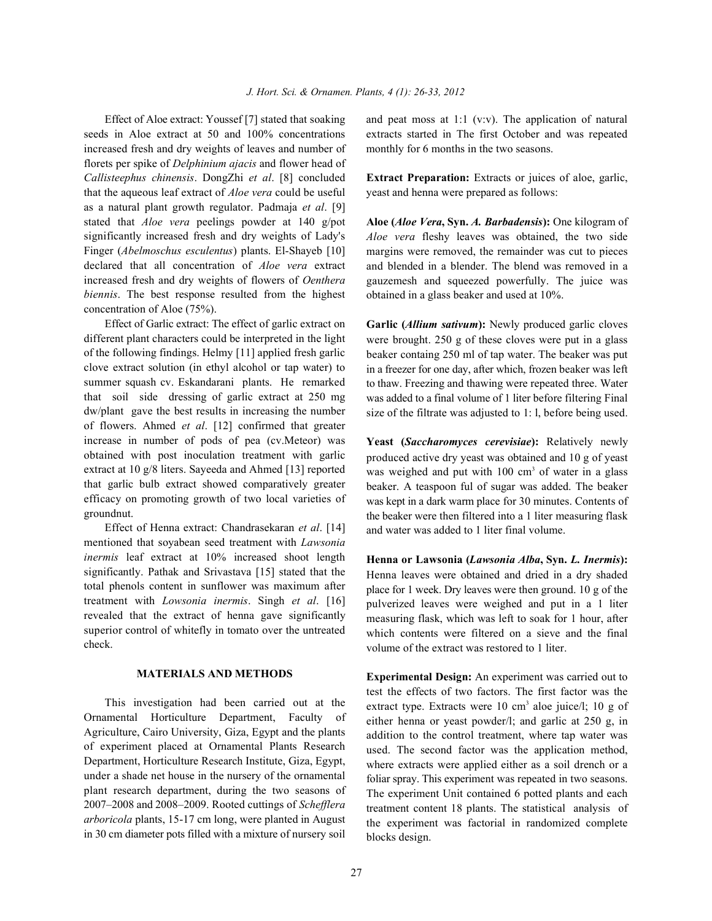seeds in Aloe extract at 50 and 100% concentrations extracts started in The first October and was repeated increased fresh and dry weights of leaves and number of monthly for 6 months in the two seasons. florets per spike of *Delphinium ajacis* and flower head of *Callisteephus chinensis*. DongZhi *et al*. [8] concluded **Extract Preparation:** Extracts or juices of aloe, garlic, that the aqueous leaf extract of *Aloe vera* could be useful yeast and henna were prepared as follows: as a natural plant growth regulator. Padmaja *et al*. [9] stated that *Aloe vera* peelings powder at 140 g/pot **Aloe (***Aloe Vera***, Syn.** *A. Barbadensis***):** One kilogram of significantly increased fresh and dry weights of Lady's Finger (*Abelmoschus esculentus*) plants. El-Shayeb [10] declared that all concentration of *Aloe vera* extract increased fresh and dry weights of flowers of *Oenthera biennis*. The best response resulted from the highest concentration of Aloe (75%).

Effect of Garlic extract: The effect of garlic extract on different plant characters could be interpreted in the light of the following findings. Helmy [11] applied fresh garlic clove extract solution (in ethyl alcohol or tap water) to summer squash cv. Eskandarani plants. He remarked that soil side dressing of garlic extract at 250 mg dw/plant gave the best results in increasing the number of flowers. Ahmed *et al*. [12] confirmed that greater increase in number of pods of pea (cv.Meteor) was obtained with post inoculation treatment with garlic extract at 10 g/8 liters. Sayeeda and Ahmed [13] reported that garlic bulb extract showed comparatively greater efficacy on promoting growth of two local varieties of groundnut.

Effect of Henna extract: Chandrasekaran *et al*. [14] mentioned that soyabean seed treatment with *Lawsonia inermis* leaf extract at 10% increased shoot length significantly. Pathak and Srivastava [15] stated that the total phenols content in sunflower was maximum after treatment with *Lowsonia inermis*. Singh *et al*. [16] revealed that the extract of henna gave significantly superior control of whitefly in tomato over the untreated check.

## **MATERIALS AND METHODS**

This investigation had been carried out at the Ornamental Horticulture Department, Faculty of Agriculture, Cairo University, Giza, Egypt and the plants of experiment placed at Ornamental Plants Research Department, Horticulture Research Institute, Giza, Egypt, under a shade net house in the nursery of the ornamental plant research department, during the two seasons of 2007–2008 and 2008–2009. Rooted cuttings of *Schefflera arboricola* plants, 15-17 cm long, were planted in August in 30 cm diameter pots filled with a mixture of nursery soil

Effect of Aloe extract: Youssef [7] stated that soaking and peat moss at 1:1 (v:v). The application of natural

*Aloe vera* fleshy leaves was obtained, the two side margins were removed, the remainder was cut to pieces and blended in a blender. The blend was removed in a gauzemesh and squeezed powerfully. The juice was obtained in a glass beaker and used at 10%.

**Garlic (***Allium sativum***):** Newly produced garlic cloves were brought. 250 g of these cloves were put in a glass beaker containg 250 ml of tap water. The beaker was put in a freezer for one day, after which, frozen beaker was left to thaw. Freezing and thawing were repeated three. Water was added to a final volume of 1 liter before filtering Final size of the filtrate was adjusted to 1: l, before being used.

**Yeast (***Saccharomyces cerevisiae***):** Relatively newly produced active dry yeast was obtained and 10 g of yeast was weighed and put with  $100 \text{ cm}^3$  of water in a glass beaker. A teaspoon ful of sugar was added. The beaker was kept in a dark warm place for 30 minutes. Contents of the beaker were then filtered into a 1 liter measuring flask and water was added to 1 liter final volume.

**Henna or Lawsonia (***Lawsonia Alba***, Syn.** *L. Inermis***):** Henna leaves were obtained and dried in a dry shaded place for 1 week. Dry leaves were then ground. 10 g of the pulverized leaves were weighed and put in a 1 liter measuring flask, which was left to soak for 1 hour, after which contents were filtered on a sieve and the final volume of the extract was restored to 1 liter.

**Experimental Design:** An experiment was carried out to test the effects of two factors. The first factor was the extract type. Extracts were 10 cm<sup>3</sup> aloe juice/l; 10 g of either henna or yeast powder/l; and garlic at 250 g, in addition to the control treatment, where tap water was used. The second factor was the application method, where extracts were applied either as a soil drench or a foliar spray. This experiment was repeated in two seasons. The experiment Unit contained 6 potted plants and each treatment content 18 plants. The statistical analysis of the experiment was factorial in randomized complete blocks design.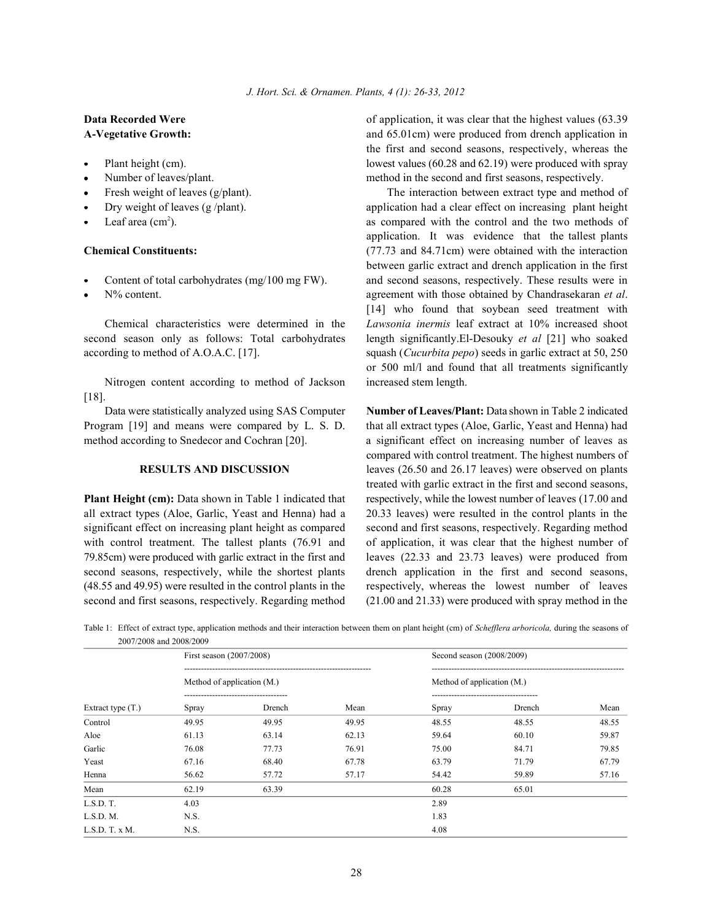- 
- 
- 
- 
- 

- 
- 

Nitrogen content according to method of Jackson increased stem length. [18].

**Data Recorded Were b b of application**, it was clear that the highest values (63.39) **A-Vegetative Growth:** and 65.01cm) were produced from drench application in Plant height (cm). lowest values (60.28 and 62.19) were produced with spray Number of leaves/plant. method in the second and first seasons, respectively. the first and second seasons, respectively, whereas the

Fresh weight of leaves (g/plant). The interaction between extract type and method of Dry weight of leaves (g/plant). application had a clear effect on increasing plant height Leaf area  $(\text{cm}^2)$ . **Chemical Constituents:** (77.73 and 84.71cm) were obtained with the interaction Content of total carbohydrates (mg/100 mg FW). and second seasons, respectively. These results were in N% content. agreement with those obtained by Chandrasekaran *et al*. Chemical characteristics were determined in the *Lawsonia inermis* leaf extract at 10% increased shoot second season only as follows: Total carbohydrates length significantly.El-Desouky *et al* [21] who soaked according to method of A.O.A.C. [17]. squash (*Cucurbita pepo*) seeds in garlic extract at 50, 250 application. It was evidence that the tallest plants between garlic extract and drench application in the first [14] who found that soybean seed treatment with or 500 ml/l and found that all treatments significantly

Data were statistically analyzed using SAS Computer **Number of Leaves/Plant:** Data shown in Table 2 indicated Program [19] and means were compared by L. S. D. that all extract types (Aloe, Garlic, Yeast and Henna) had method according to Snedecor and Cochran [20]. a significant effect on increasing number of leaves as **RESULTS AND DISCUSSION** leaves (26.50 and 26.17 leaves) were observed on plants **Plant Height (cm):** Data shown in Table 1 indicated that respectively, while the lowest number of leaves (17.00 and all extract types (Aloe, Garlic, Yeast and Henna) had a 20.33 leaves) were resulted in the control plants in the significant effect on increasing plant height as compared second and first seasons, respectively. Regarding method with control treatment. The tallest plants (76.91 and of application, it was clear that the highest number of 79.85cm) were produced with garlic extract in the first and leaves (22.33 and 23.73 leaves) were produced from second seasons, respectively, while the shortest plants drench application in the first and second seasons, (48.55 and 49.95) were resulted in the control plants in the respectively, whereas the lowest number of leaves second and first seasons, respectively. Regarding method (21.00 and 21.33) were produced with spray method in the compared with control treatment. The highest numbers of treated with garlic extract in the first and second seasons,

Table 1: Effect of extract type, application methods and their interaction between them on plant height (cm) of *Schefflera arboricola,* during the seasons of 2007/2008 and 2008/2009

|                     | $200112000$ and $20001200$<br>First season (2007/2008) |        |       | Second season (2008/2009)  |        |       |  |
|---------------------|--------------------------------------------------------|--------|-------|----------------------------|--------|-------|--|
| Extract type $(T.)$ | Method of application (M.)                             |        |       | Method of application (M.) |        |       |  |
|                     | Spray                                                  | Drench | Mean  | Spray                      | Drench | Mean  |  |
| Control             | 49.95                                                  | 49.95  | 49.95 | 48.55                      | 48.55  | 48.55 |  |
| Aloe                | 61.13                                                  | 63.14  | 62.13 | 59.64                      | 60.10  | 59.87 |  |
| Garlic              | 76.08                                                  | 77.73  | 76.91 | 75.00                      | 84.71  | 79.85 |  |
| Yeast               | 67.16                                                  | 68.40  | 67.78 | 63.79                      | 71.79  | 67.79 |  |
| Henna               | 56.62                                                  | 57.72  | 57.17 | 54.42                      | 59.89  | 57.16 |  |
| Mean                | 62.19                                                  | 63.39  |       | 60.28                      | 65.01  |       |  |
| L.S.D. T.           | 4.03                                                   |        |       | 2.89                       |        |       |  |
| L.S.D. M.           | N.S.                                                   |        |       | 1.83                       |        |       |  |
| LSD.T.xM            | N.S.                                                   |        |       | 4.08                       |        |       |  |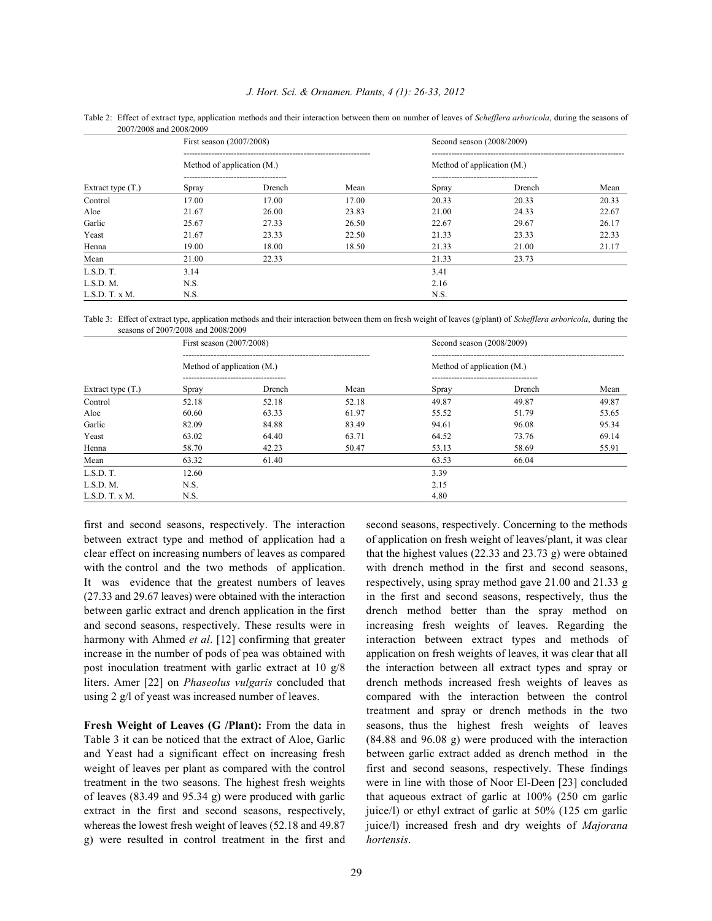| Extract type $(T.)$ | First season (2007/2008)   |        |       | Second season (2008/2009)  |        |       |  |
|---------------------|----------------------------|--------|-------|----------------------------|--------|-------|--|
|                     | Method of application (M.) |        |       | Method of application (M.) |        |       |  |
|                     | Spray                      | Drench | Mean  | Spray                      | Drench | Mean  |  |
| Control             | 17.00                      | 17.00  | 17.00 | 20.33                      | 20.33  | 20.33 |  |
| Aloe                | 21.67                      | 26.00  | 23.83 | 21.00                      | 24.33  | 22.67 |  |
| Garlic              | 25.67                      | 27.33  | 26.50 | 22.67                      | 29.67  | 26.17 |  |
| Yeast               | 21.67                      | 23.33  | 22.50 | 21.33                      | 23.33  | 22.33 |  |
| Henna               | 19.00                      | 18.00  | 18.50 | 21.33                      | 21.00  | 21.17 |  |
| Mean                | 21.00                      | 22.33  |       | 21.33                      | 23.73  |       |  |
| L.S.D. T.           | 3.14                       |        |       | 3.41                       |        |       |  |
| L.S.D. M.           | N.S.                       |        |       | 2.16                       |        |       |  |
| L.S.D. T. x M.      | N.S.                       |        |       | N.S.                       |        |       |  |

Table 2: Effect of extract type, application methods and their interaction between them on number of leaves of *Schefflera arboricola*, during the seasons of 2007/2008 and 2008/2009

Table 3: Effect of extract type, application methods and their interaction between them on fresh weight of leaves (g/plant) of *Schefflera arboricola*, during the seasons of 2007/2008 and 2008/2009

|                     | First season (2007/2008)   |                                             |       | Second season (2008/2009)  |        |       |
|---------------------|----------------------------|---------------------------------------------|-------|----------------------------|--------|-------|
| Extract type $(T.)$ | Method of application (M.) |                                             |       | Method of application (M.) |        |       |
|                     | Spray                      | ---------------------------------<br>Drench | Mean  | Spray                      | Drench | Mean  |
| Control             | 52.18                      | 52.18                                       | 52.18 | 49.87                      | 49.87  | 49.87 |
| Aloe                | 60.60                      | 63.33                                       | 61.97 | 55.52                      | 51.79  | 53.65 |
| Garlic              | 82.09                      | 84.88                                       | 83.49 | 94.61                      | 96.08  | 95.34 |
| Yeast               | 63.02                      | 64.40                                       | 63.71 | 64.52                      | 73.76  | 69.14 |
| Henna               | 58.70                      | 42.23                                       | 50.47 | 53.13                      | 58.69  | 55.91 |
| Mean                | 63.32                      | 61.40                                       |       | 63.53                      | 66.04  |       |
| L.S.D. T.           | 12.60                      |                                             |       | 3.39                       |        |       |
| L.S.D. M.           | N.S.                       |                                             |       | 2.15                       |        |       |
| L.S.D. T. x M.      | N.S.                       |                                             |       | 4.80                       |        |       |

between extract type and method of application had a of application on fresh weight of leaves/plant, it was clear clear effect on increasing numbers of leaves as compared that the highest values (22.33 and 23.73 g) were obtained with the control and the two methods of application. with drench method in the first and second seasons, It was evidence that the greatest numbers of leaves respectively, using spray method gave 21.00 and 21.33 g (27.33 and 29.67 leaves) were obtained with the interaction in the first and second seasons, respectively, thus the between garlic extract and drench application in the first drench method better than the spray method on and second seasons, respectively. These results were in increasing fresh weights of leaves. Regarding the increase in the number of pods of pea was obtained with application on fresh weights of leaves, it was clear that all post inoculation treatment with garlic extract at 10 g/8 the interaction between all extract types and spray or liters. Amer [22] on *Phaseolus vulgaris* concluded that drench methods increased fresh weights of leaves as

whereas the lowest fresh weight of leaves (52.18 and 49.87 juice/l) increased fresh and dry weights of *Majorana* g) were resulted in control treatment in the first and *hortensis*.

first and second seasons, respectively. The interaction second seasons, respectively. Concerning to the methods harmony with Ahmed *et al*. [12] confirming that greater interaction between extract types and methods of using 2 g/l of yeast was increased number of leaves. compared with the interaction between the control **Fresh Weight of Leaves (G /Plant):** From the data in seasons, thus the highest fresh weights of leaves Table 3 it can be noticed that the extract of Aloe, Garlic (84.88 and 96.08 g) were produced with the interaction and Yeast had a significant effect on increasing fresh between garlic extract added as drench method in the weight of leaves per plant as compared with the control first and second seasons, respectively. These findings treatment in the two seasons. The highest fresh weights were in line with those of Noor El-Deen [23] concluded of leaves (83.49 and 95.34 g) were produced with garlic that aqueous extract of garlic at 100% (250 cm garlic extract in the first and second seasons, respectively, juice/l) or ethyl extract of garlic at 50% (125 cm garlic treatment and spray or drench methods in the two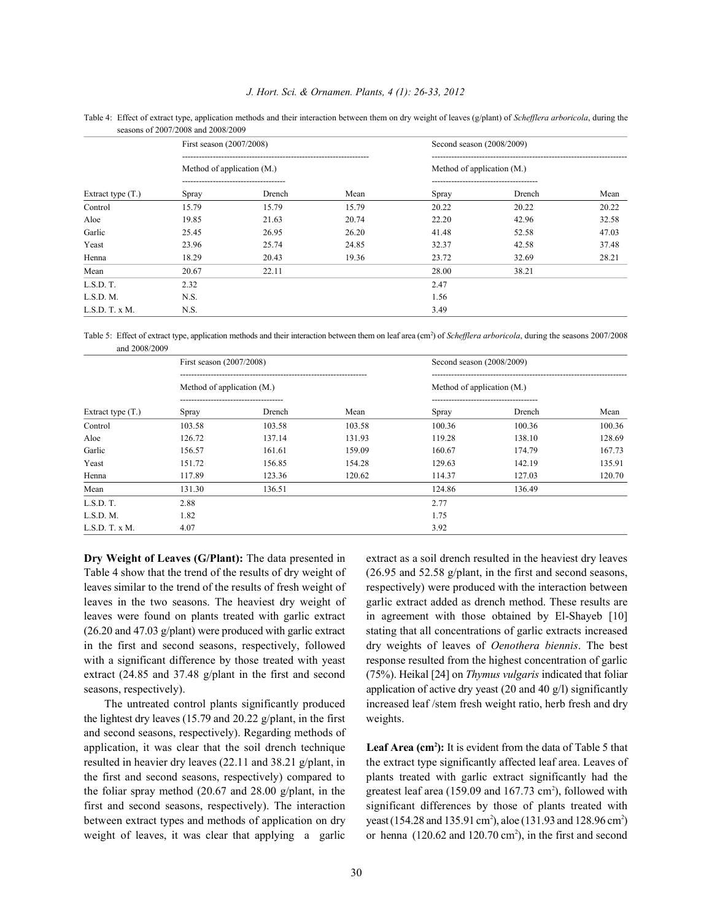### *J. Hort. Sci. & Ornamen. Plants, 4 (1): 26-33, 2012*

|                     | seasons of $200$ // $2008$ and $2008$ / $2009$ |        |       |                                              |        |       |  |  |  |
|---------------------|------------------------------------------------|--------|-------|----------------------------------------------|--------|-------|--|--|--|
|                     | First season (2007/2008)                       |        |       | Second season (2008/2009)                    |        |       |  |  |  |
| Extract type $(T.)$ | Method of application (M.)                     |        |       | Method of application (M.)                   |        |       |  |  |  |
|                     | -----------------------------------<br>Spray   | Drench | Mean  | -----------------------------------<br>Spray | Drench | Mean  |  |  |  |
| Control             | 15.79                                          | 15.79  | 15.79 | 20.22                                        | 20.22  | 20.22 |  |  |  |
| Aloe                | 19.85                                          | 21.63  | 20.74 | 22.20                                        | 42.96  | 32.58 |  |  |  |
| Garlic              | 25.45                                          | 26.95  | 26.20 | 41.48                                        | 52.58  | 47.03 |  |  |  |
| Yeast               | 23.96                                          | 25.74  | 24.85 | 32.37                                        | 42.58  | 37.48 |  |  |  |
| Henna               | 18.29                                          | 20.43  | 19.36 | 23.72                                        | 32.69  | 28.21 |  |  |  |
| Mean                | 20.67                                          | 22.11  |       | 28.00                                        | 38.21  |       |  |  |  |
| L.S.D. T.           | 2.32                                           |        |       | 2.47                                         |        |       |  |  |  |
| L.S.D. M.           | N.S.                                           |        |       | 1.56                                         |        |       |  |  |  |
| L.S.D. T. x M.      | N.S.                                           |        |       | 3.49                                         |        |       |  |  |  |

Table 4: Effect of extract type, application methods and their interaction between them on dry weight of leaves (g/plant) of *Schefflera arboricola*, during the seasons of 2007/2008 and 2008/2009

Table 5: Effect of extract type, application methods and their interaction between them on leaf area (cm<sup>2</sup>) of *Schefflera arboricola*, during the seasons 2007/2008 and 2008/2009

| Extract type $(T.)$ | First season (2007/2008)<br>Method of application (M.) |        |        | Second season (2008/2009)                       |        |        |  |
|---------------------|--------------------------------------------------------|--------|--------|-------------------------------------------------|--------|--------|--|
|                     |                                                        |        |        | Method of application (M.)                      |        |        |  |
|                     | Spray                                                  | Drench | Mean   | --------------------------------------<br>Spray | Drench | Mean   |  |
| Control             | 103.58                                                 | 103.58 | 103.58 | 100.36                                          | 100.36 | 100.36 |  |
| Aloe                | 126.72                                                 | 137.14 | 131.93 | 119.28                                          | 138.10 | 128.69 |  |
| Garlic              | 156.57                                                 | 161.61 | 159.09 | 160.67                                          | 174.79 | 167.73 |  |
| Yeast               | 151.72                                                 | 156.85 | 154.28 | 129.63                                          | 142.19 | 135.91 |  |
| Henna               | 117.89                                                 | 123.36 | 120.62 | 114.37                                          | 127.03 | 120.70 |  |
| Mean                | 131.30                                                 | 136.51 |        | 124.86                                          | 136.49 |        |  |
| L.S.D. T.           | 2.88                                                   |        |        | 2.77                                            |        |        |  |
| L.S.D. M.           | 1.82                                                   |        |        | 1.75                                            |        |        |  |
| L.S.D. T. x M.      | 4.07                                                   |        |        | 3.92                                            |        |        |  |

Table 4 show that the trend of the results of dry weight of (26.95 and 52.58 g/plant, in the first and second seasons, leaves similar to the trend of the results of fresh weight of respectively) were produced with the interaction between leaves in the two seasons. The heaviest dry weight of garlic extract added as drench method. These results are leaves were found on plants treated with garlic extract in agreement with those obtained by El-Shayeb [10]  $(26.20 \text{ and } 47.03 \text{ g/plant})$  were produced with garlic extract stating that all concentrations of garlic extracts increased in the first and second seasons, respectively, followed dry weights of leaves of *Oenothera biennis*. The best with a significant difference by those treated with yeast response resulted from the highest concentration of garlic extract (24.85 and 37.48 g/plant in the first and second (75%). Heikal [24] on *Thymus vulgaris* indicated that foliar seasons, respectively). application of active dry yeast (20 and 40 g/l) significantly

the lightest dry leaves (15.79 and 20.22 g/plant, in the first weights. and second seasons, respectively). Regarding methods of application, it was clear that the soil drench technique Leaf Area (cm<sup>2</sup>): It is evident from the data of Table 5 that resulted in heavier dry leaves (22.11 and 38.21 g/plant, in the extract type significantly affected leaf area. Leaves of the first and second seasons, respectively) compared to plants treated with garlic extract significantly had the the foliar spray method (20.67 and 28.00 g/plant, in the greatest leaf area (159.09 and 167.73 cm<sup>2</sup>), followed with first and second seasons, respectively). The interaction significant differences by those of plants treated with between extract types and methods of application on dry yeast (154.28 and 135.91 cm<sup>2</sup>), aloe (131.93 and 128.96 cm<sup>2</sup>)

**Dry Weight of Leaves (G/Plant):** The data presented in extract as a soil drench resulted in the heaviest dry leaves The untreated control plants significantly produced increased leaf /stem fresh weight ratio, herb fresh and dry

weight of leaves, it was clear that applying a garlic or henna  $(120.62 \text{ and } 120.70 \text{ cm}^2)$ , in the first and second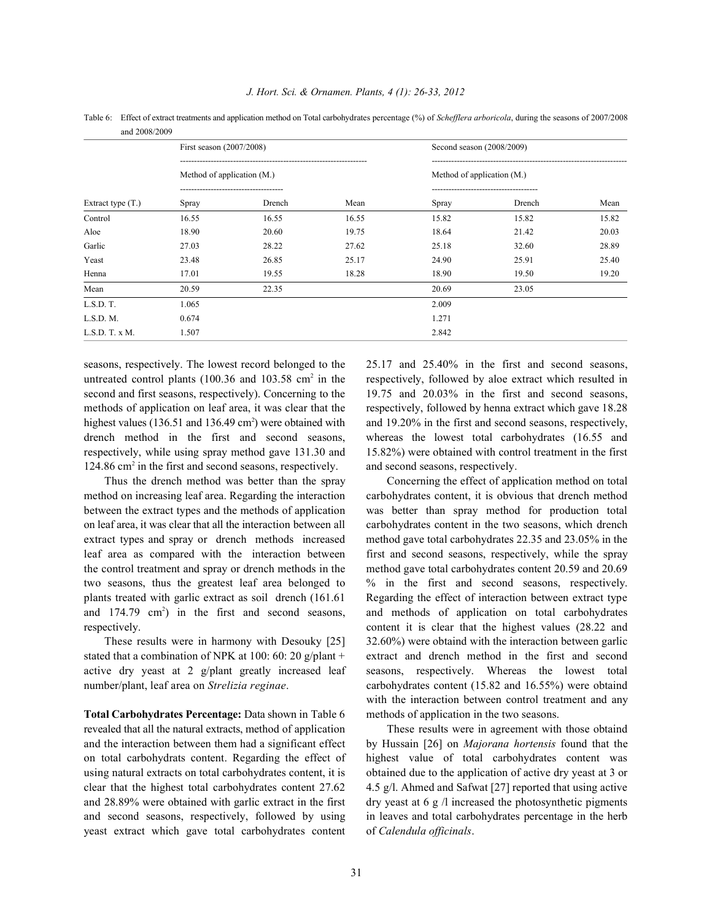| and 2008/2009       |                            |        |       |                            |        |       |  |  |  |
|---------------------|----------------------------|--------|-------|----------------------------|--------|-------|--|--|--|
| Extract type $(T.)$ | First season (2007/2008)   |        |       | Second season (2008/2009)  |        |       |  |  |  |
|                     | Method of application (M.) |        |       | Method of application (M.) |        |       |  |  |  |
|                     | Spray                      | Drench | Mean  | Spray                      | Drench | Mean  |  |  |  |
| Control             | 16.55                      | 16.55  | 16.55 | 15.82                      | 15.82  | 15.82 |  |  |  |
| Aloe                | 18.90                      | 20.60  | 19.75 | 18.64                      | 21.42  | 20.03 |  |  |  |
| Garlic              | 27.03                      | 28.22  | 27.62 | 25.18                      | 32.60  | 28.89 |  |  |  |
| Yeast               | 23.48                      | 26.85  | 25.17 | 24.90                      | 25.91  | 25.40 |  |  |  |
| Henna               | 17.01                      | 19.55  | 18.28 | 18.90                      | 19.50  | 19.20 |  |  |  |
| Mean                | 20.59                      | 22.35  |       | 20.69                      | 23.05  |       |  |  |  |
| L.S.D. T.           | 1.065                      |        |       | 2.009                      |        |       |  |  |  |
| L.S.D. M.           | 0.674                      |        |       | 1.271                      |        |       |  |  |  |
| L.S.D. T. x M.      | 1.507                      |        |       | 2.842                      |        |       |  |  |  |

Table 6: Effect of extract treatments and application method on Total carbohydrates percentage (%) of *Schefflera arboricola*, during the seasons of 2007/2008

seasons, respectively. The lowest record belonged to the 25.17 and 25.40% in the first and second seasons, untreated control plants  $(100.36 \text{ and } 103.58 \text{ cm}^2 \text{ in the}$  respectively, followed by aloe extract which resulted in second and first seasons, respectively). Concerning to the 19.75 and 20.03% in the first and second seasons, methods of application on leaf area, it was clear that the respectively, followed by henna extract which gave 18.28 highest values (136.51 and 136.49 cm<sup>2</sup>) were obtained with and 19.20% in the first and second seasons, respectively, drench method in the first and second seasons, whereas the lowest total carbohydrates (16.55 and respectively, while using spray method gave 131.30 and 15.82%) were obtained with control treatment in the first 124.86 cm<sup>2</sup> in the first and second seasons, respectively. and second seasons, respectively.

Thus the drench method was better than the spray Concerning the effect of application method on total method on increasing leaf area. Regarding the interaction carbohydrates content, it is obvious that drench method between the extract types and the methods of application was better than spray method for production total on leaf area, it was clear that all the interaction between all carbohydrates content in the two seasons, which drench extract types and spray or drench methods increased method gave total carbohydrates 22.35 and 23.05% in the leaf area as compared with the interaction between first and second seasons, respectively, while the spray the control treatment and spray or drench methods in the method gave total carbohydrates content 20.59 and 20.69 two seasons, thus the greatest leaf area belonged to % in the first and second seasons, respectively. plants treated with garlic extract as soil drench (161.61 Regarding the effect of interaction between extract type and 174.79 cm<sup>2</sup>) in the first and second seasons, and methods of application on total carbohydrates respectively. content it is clear that the highest values (28.22 and

**Total Carbohydrates Percentage:** Data shown in Table 6 methods of application in the two seasons. revealed that all the natural extracts, method of application These results were in agreement with those obtaind and the interaction between them had a significant effect by Hussain [26] on *Majorana hortensis* found that the on total carbohydrats content. Regarding the effect of highest value of total carbohydrates content was using natural extracts on total carbohydrates content, it is obtained due to the application of active dry yeast at 3 or clear that the highest total carbohydrates content 27.62 4.5 g/l. Ahmed and Safwat [27] reported that using active and 28.89% were obtained with garlic extract in the first dry yeast at 6 g  $\alpha$  increased the photosynthetic pigments and second seasons, respectively, followed by using in leaves and total carbohydrates percentage in the herb yeast extract which gave total carbohydrates content of *Calendula officinals*.

These results were in harmony with Desouky [25] 32.60%) were obtaind with the interaction between garlic stated that a combination of NPK at 100: 60: 20 g/plant + extract and drench method in the first and second active dry yeast at 2 g/plant greatly increased leaf seasons, respectively. Whereas the lowest total number/plant, leaf area on *Strelizia reginae*. carbohydrates content (15.82 and 16.55%) were obtaind with the interaction between control treatment and any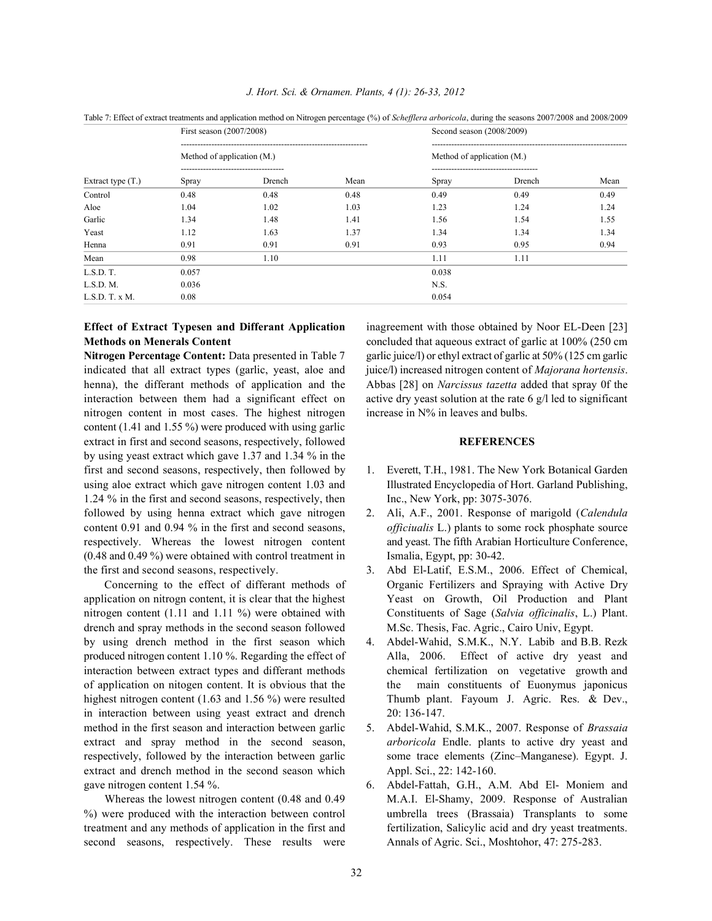| Extract type $(T.)$ | First season (2007/2008)<br>Method of application $(M.)$ |            |      | Second season (2008/2009)  |        |      |  |
|---------------------|----------------------------------------------------------|------------|------|----------------------------|--------|------|--|
|                     |                                                          |            |      | Method of application (M.) |        |      |  |
|                     | Spray                                                    | <br>Drench | Mean | Spray                      | Drench | Mean |  |
| Control             | 0.48                                                     | 0.48       | 0.48 | 0.49                       | 0.49   | 0.49 |  |
| Aloe                | 1.04                                                     | 1.02       | 1.03 | 1.23                       | 1.24   | 1.24 |  |
| Garlic              | 1.34                                                     | 1.48       | 1.41 | 1.56                       | 1.54   | 1.55 |  |
| Yeast               | 1.12                                                     | 1.63       | 1.37 | 1.34                       | 1.34   | 1.34 |  |
| Henna               | 0.91                                                     | 0.91       | 0.91 | 0.93                       | 0.95   | 0.94 |  |
| Mean                | 0.98                                                     | 1.10       |      | 1.11                       | 1.11   |      |  |
| L.S.D. T.           | 0.057                                                    |            |      | 0.038                      |        |      |  |
| L.S.D. M.           | 0.036                                                    |            |      | N.S.                       |        |      |  |
| L.S.D. T. x M.      | 0.08                                                     |            |      | 0.054                      |        |      |  |

## *J. Hort. Sci. & Ornamen. Plants, 4 (1): 26-33, 2012*

Table 7: Effect of extract treatments and application method on Nitrogen percentage (%) of *Schefflera arboricola*, during the seasons 2007/2008 and 2008/2009

# **Methods on Menerals Content** concluded that aqueous extract of garlic at 100% (250 cm

**Nitrogen Percentage Content:** Data presented in Table 7 garlic juice/l) or ethyl extract of garlic at 50% (125 cm garlic indicated that all extract types (garlic, yeast, aloe and juice/l) increased nitrogen content of *Majorana hortensis*. henna), the differant methods of application and the Abbas [28] on *Narcissus tazetta* added that spray 0f the interaction between them had a significant effect on active dry yeast solution at the rate  $6 \text{ g/l}$  led to significant nitrogen content in most cases. The highest nitrogen increase in N% in leaves and bulbs. content (1.41 and 1.55 %) were produced with using garlic extract in first and second seasons, respectively, followed **REFERENCES** by using yeast extract which gave 1.37 and 1.34 % in the first and second seasons, respectively, then followed by 1. Everett, T.H., 1981. The New York Botanical Garden using aloe extract which gave nitrogen content 1.03 and Illustrated Encyclopedia of Hort. Garland Publishing, 1.24 % in the first and second seasons, respectively, then Inc., New York, pp: 3075-3076. followed by using henna extract which gave nitrogen 2. Ali, A.F., 2001. Response of marigold (*Calendula* content 0.91 and 0.94 % in the first and second seasons, *officiualis* L.) plants to some rock phosphate source respectively. Whereas the lowest nitrogen content and yeast. The fifth Arabian Horticulture Conference, (0.48 and 0.49 %) were obtained with control treatment in Ismalia, Egypt, pp: 30-42. the first and second seasons, respectively. 3. Abd El-Latif, E.S.M., 2006. Effect of Chemical,

application on nitrogn content, it is clear that the highest Yeast on Growth, Oil Production and Plant nitrogen content (1.11 and 1.11 %) were obtained with Constituents of Sage (*Salvia officinalis*, L.) Plant. drench and spray methods in the second season followed M.Sc. Thesis, Fac. Agric., Cairo Univ, Egypt. by using drench method in the first season which 4. Abdel-Wahid, S.M.K., N.Y. Labib and B.B. Rezk produced nitrogen content 1.10 %. Regarding the effect of Alla, 2006. Effect of active dry yeast and interaction between extract types and differant methods chemical fertilization on vegetative growth and of application on nitogen content. It is obvious that the the main constituents of Euonymus japonicus highest nitrogen content (1.63 and 1.56 %) were resulted Thumb plant. Fayoum J. Agric. Res. & Dev., in interaction between using yeast extract and drench 20: 136-147. method in the first season and interaction between garlic 5. Abdel-Wahid, S.M.K., 2007. Response of *Brassaia* extract and spray method in the second season, *arboricola* Endle. plants to active dry yeast and respectively, followed by the interaction between garlic some trace elements (Zinc–Manganese). Egypt. J. extract and drench method in the second season which Appl. Sci., 22: 142-160. gave nitrogen content 1.54 %. 6. Abdel-Fattah, G.H., A.M. Abd El-Moniem and

second seasons, respectively. These results were Annals of Agric. Sci., Moshtohor, 47: 275-283.

**Effect of Extract Typesen and Differant Application** inagreement with those obtained by Noor EL-Deen [23]

- 
- 
- Concerning to the effect of differant methods of Organic Fertilizers and Spraying with Active Dry
	-
	-
- Whereas the lowest nitrogen content (0.48 and 0.49 M.A.I. El-Shamy, 2009. Response of Australian %) were produced with the interaction between control umbrella trees (Brassaia) Transplants to some treatment and any methods of application in the first and fertilization, Salicylic acid and dry yeast treatments.